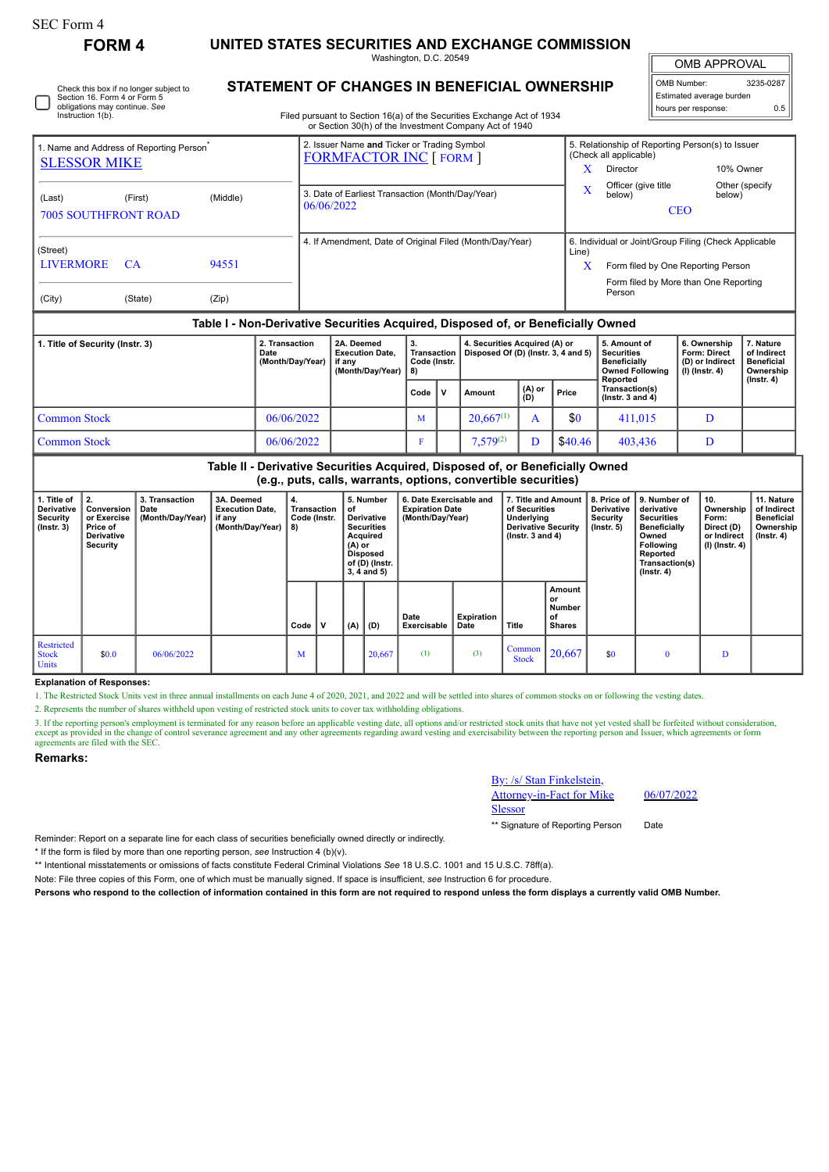## **FORM 4 UNITED STATES SECURITIES AND EXCHANGE COMMISSION**

Washington, D.C. 20549

OMB APPROVAL

| OMB Number:<br>3235-0287 |     |  |  |  |  |
|--------------------------|-----|--|--|--|--|
| Estimated average burden |     |  |  |  |  |
| hours per response:      | 0.5 |  |  |  |  |

Check this box if no longer subject to Section 16. Form 4 or Form 5 obligations may continue. *See* Instruction 1(b)

## **STATEMENT OF CHANGES IN BENEFICIAL OWNERSHIP**

Filed pursuant to Section 16(a) of the Securities Exchange Act of 1934 or Section 30(h) of the Investment Company Act of 1940

| Table I - Non-Derivative Securities Acquired, Disposed of, or Beneficially Owned |           |          |                                                                               |                                                            |                                                                                                     |                |  |  |
|----------------------------------------------------------------------------------|-----------|----------|-------------------------------------------------------------------------------|------------------------------------------------------------|-----------------------------------------------------------------------------------------------------|----------------|--|--|
| (City)                                                                           | (State)   | (Zip)    |                                                                               |                                                            | Form filed by More than One Reporting<br>Person                                                     |                |  |  |
| (Street)<br><b>LIVERMORE</b>                                                     | <b>CA</b> | 94551    | 4. If Amendment, Date of Original Filed (Month/Day/Year)                      | Line)<br>X                                                 | 6. Individual or Joint/Group Filing (Check Applicable<br>Form filed by One Reporting Person         |                |  |  |
| (Last)<br><b>7005 SOUTHFRONT ROAD</b>                                            | (First)   | (Middle) | 3. Date of Earliest Transaction (Month/Day/Year)<br>06/06/2022                | Officer (give title<br>X<br>below)<br>below)<br><b>CEO</b> |                                                                                                     | Other (specify |  |  |
| 1. Name and Address of Reporting Person <sup>®</sup><br><b>SLESSOR MIKE</b>      |           |          | 2. Issuer Name and Ticker or Trading Symbol<br><b>FORMFACTOR INC [ FORM ]</b> | x                                                          | 5. Relationship of Reporting Person(s) to Issuer<br>(Check all applicable)<br>10% Owner<br>Director |                |  |  |

| 1. Title of Security (Instr. 3) | 2. Transaction<br>Date<br>(Month/Day/Year) | 2A. Deemed<br><b>Execution Date.</b><br>if anv<br>(Month/Dav/Year) | З.<br>Transaction I<br>Code (Instr.<br>-8) |              | 4. Securities Acquired (A) or<br>Disposed Of (D) (Instr. 3, 4 and 5) |                                                   |         | 5. Amount of<br>Securities<br><b>Beneficially</b><br><b>Owned Following</b><br>Reported | 6. Ownership<br><b>Form: Direct</b><br>(D) or Indirect<br>' (I) (Instr. 4) | ∕. Nature<br>of Indirect<br><b>Beneficial</b><br>Ownership<br>(Instr. 4) |
|---------------------------------|--------------------------------------------|--------------------------------------------------------------------|--------------------------------------------|--------------|----------------------------------------------------------------------|---------------------------------------------------|---------|-----------------------------------------------------------------------------------------|----------------------------------------------------------------------------|--------------------------------------------------------------------------|
|                                 |                                            |                                                                    | Code                                       | $\mathbf{v}$ | Amount                                                               | $\begin{pmatrix} (A) & or \\ (D) & \end{pmatrix}$ | Price   | Transaction(s)<br>( $lnstr.$ 3 and 4)                                                   |                                                                            |                                                                          |
| Common Stock                    | 06/06/2022                                 |                                                                    | M                                          |              | $20.667^{(1)}$                                                       |                                                   | \$0     | 411.015                                                                                 |                                                                            |                                                                          |
| Common Stock                    | 06/06/2022                                 |                                                                    |                                            |              | $7,579^{(2)}$                                                        |                                                   | \$40.46 | 403.436                                                                                 | D                                                                          |                                                                          |

## **Table II - Derivative Securities Acquired, Disposed of, or Beneficially Owned (e.g., puts, calls, warrants, options, convertible securities) 1. Title of Derivative Security (Instr. 3) 2. Conversion or Exercise Price of Derivative Security 3. Transaction Date (Month/Day/Year) 3A. Deemed Execution Date, if any (Month/Day/Year) 4. Transaction Code (Instr. 8) 5. Number of Derivative Securities Acquired (A) or Disposed of (D) (Instr. 3, 4 and 5) 6. Date Exercisable and Expiration Date (Month/Day/Year) 7. Title and Amount of Securities Underlying Derivative Security (Instr. 3 and 4) 8. Price of Derivative Security (Instr. 5) 9. Number of derivative Securities Beneficially Owned Following Reported Transaction(s) (Instr. 4) 10. Ownership Form: Direct (D) or Indirect (I) (Instr. 4) 11. Nature of Indirect Beneficial Ownership (Instr. 4) Code V (A) (D) Date Exercisable Expiration Date Title Amount or Number of Shares** Restricted Stock Units \$0.0 06/06/2022 M  $M$  20,667 (1) (3) Common Steel  $\begin{array}{|c|c|c|c|c|c|c|c|c|} \hline \text{ommon} & 20,667 & \text{ } & 0 & \text{ } & \text{D} \ \hline \text{Stock} & 20,667 & \text{ } & 0 & \text{ } & \text{D} \ \hline \end{array}$

**Explanation of Responses:**

1. The Restricted Stock Units vest in three annual installments on each June 4 of 2020, 2021, and 2022 and will be settled into shares of common stocks on or following the vesting dates.

2. Represents the number of shares withheld upon vesting of restricted stock units to cover tax withholding obligations.

3. If the reporting person's employment is terminated for any reason before an applicable vesting date, all options and/or restricted stock units that have not yet vested shall be forfeited without consideration, except as provided in the change of control severance agreement and any other agreements regarding award vesting and exercisability between the reporting person and Issuer, which agreements or form<br>agreements are filed wit

## **Remarks:**

By: /s/ Stan Finkelstein, Attorney-in-Fact for Mike Slessor

06/07/2022

\*\* Signature of Reporting Person Date

Reminder: Report on a separate line for each class of securities beneficially owned directly or indirectly.

\* If the form is filed by more than one reporting person, *see* Instruction 4 (b)(v).

\*\* Intentional misstatements or omissions of facts constitute Federal Criminal Violations *See* 18 U.S.C. 1001 and 15 U.S.C. 78ff(a).

Note: File three copies of this Form, one of which must be manually signed. If space is insufficient, *see* Instruction 6 for procedure.

**Persons who respond to the collection of information contained in this form are not required to respond unless the form displays a currently valid OMB Number.**